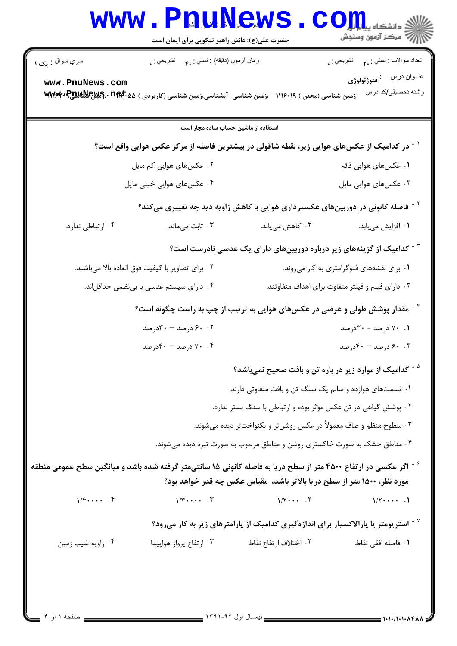|                                                                                                                               | <b>WWW.PRUNEWS</b><br>حضرت علی(ع): دانش راهبر نیکویی برای ایمان است  |                                                                                                                                | دانشکاه پی <mark>ا با با</mark><br>\  // مرکز آزمون وسنجش |  |
|-------------------------------------------------------------------------------------------------------------------------------|----------------------------------------------------------------------|--------------------------------------------------------------------------------------------------------------------------------|-----------------------------------------------------------|--|
| سري سوال : مک ۱                                                                                                               | زمان أزمون (دقيقه) : تستي : <sub>۴</sub> ۰     تشريحي : <sub>•</sub> |                                                                                                                                | تعداد سوالات : تستبي : . <b>. )</b> تشريحي : .            |  |
| www.PnuNews.com                                                                                                               |                                                                      | <sup>.</sup> زمین شناسی (محض ) ۱۱۱۶۰۱۹ - ،زمین شناسی-آبشناسی،زمین شناسی (کاربردی ) <b>۷۵×۹۴۰ MWAF و PJULN</b> EX و <b>MWAF</b> | عفوان درس <sup>:</sup> فتوژئولوژی<br>رشته تحصيلي/كد درس   |  |
|                                                                                                                               | استفاده از ماشین حساب ساده مجاز است                                  |                                                                                                                                |                                                           |  |
|                                                                                                                               |                                                                      | <sup>۱</sup> <sup>-</sup> در کدامیک از عکسهای هوایی زیر، نقطه شاقولی در بیشترین فاصله از مرکز عکس هوایی واقع است؟              |                                                           |  |
|                                                                                                                               | ۰۲ عکسهای هوایی کم مایل<br>۰۱ عکسهای هوایی قائم                      |                                                                                                                                |                                                           |  |
|                                                                                                                               | ۰۴ عکسهای هوایی خیلی مایل                                            | ۰۳ عکسهای هوایی مایل                                                                                                           |                                                           |  |
|                                                                                                                               |                                                                      | <sup>۲</sup> <sup>-</sup> فاصله کانونی در دوربینهای عکسبرداری هوایی با کاهش زاویه دید چه تغییری میکند؟                         |                                                           |  |
| ۰۴ ارتباطی ندارد.                                                                                                             | ۰۳ ثابت میماند.                                                      | ۰۲ کاهش میبابد.                                                                                                                | ٠١ افزايش مىيابد.                                         |  |
|                                                                                                                               |                                                                      | <sup>۳ -</sup> کدامیک از گزینههای زیر درباره دوربینهای دارای یک عدسی <u>نادرست</u> است؟                                        |                                                           |  |
| ٠٢ براي تصاوير با كيفيت فوق العاده بالا ميباشند.                                                                              |                                                                      | ۰۱ برای نقشههای فتوگرامتری به کار میروند.                                                                                      |                                                           |  |
|                                                                                                                               | ۰۴ دارای سیستم عدسی با بینظمی حداقلاند.                              | ۰۳ دارای فیلم و فیلتر متفاوت برای اهداف متفاوتند.                                                                              |                                                           |  |
|                                                                                                                               |                                                                      | <sup>۶</sup> <sup>-</sup> مقدار پوشش طولی و عرضی در عکسهای هوایی به ترتیب از چپ به راست چگونه است؟                             |                                                           |  |
|                                                                                                                               | ۰.۲ ورصد – ۳۰درصد<br>۰۱ ۷۰ درصد - ۳۰درصد                             |                                                                                                                                |                                                           |  |
|                                                                                                                               | ۰۴ درصد - ۴۰درصد                                                     |                                                                                                                                | ۰.۳ ورصد - ۴۰درصد                                         |  |
|                                                                                                                               |                                                                      | <sup>۵ -</sup> کدامیک از موارد زیر در باره تن و بافت صحیح <u>نمیباشد؟</u>                                                      |                                                           |  |
|                                                                                                                               |                                                                      | ۰۱ قسمتهای هوازده و سالم یک سنگ تن و بافت متفاوتی دارند.                                                                       |                                                           |  |
|                                                                                                                               |                                                                      | ۰۲ پوشش گیاهی در تن عکس مؤثر بوده و ارتباطی با سنگ بستر ندارد.                                                                 |                                                           |  |
|                                                                                                                               |                                                                      | ۰۳ سطوح منظم و صاف معمولاً در عکس روشن¤ر و یکنواخت¤ر دیده میشوند.                                                              |                                                           |  |
|                                                                                                                               |                                                                      | ۰۴ مناطق خشک به صورت خاکستری روشن و مناطق مرطوب به صورت تیره دیده میشوند.                                                      |                                                           |  |
| ٔ <sup>۶ -</sup> اگر عکسی در ارتفاع ۴۵۰۰ متر از سطح دریا به فاصله کانونی ۱۵ سانتیمتر گرفته شده باشد و میانگین سطح عمومی منطقه |                                                                      | مورد نظر، ۱۵۰۰ متر از سطح دریا بالاتر باشد، ًمقیاس عکس چه قدر خواهد بود؟                                                       |                                                           |  |
| $1/\xi \cdots$ . $\xi$                                                                                                        | $\sqrt{r}$                                                           | $1/\zeta \cdots$ . $\zeta$                                                                                                     | $1/\zeta \cdots$ .                                        |  |
|                                                                                                                               |                                                                      | استریومتر یا پارالاکسبار برای اندازهگیری کدامیک از پارامترهای زیر به کار میرود؟ - آستریومتر (                                  |                                                           |  |
| ۰۴ زاویه شیب زمین                                                                                                             | ۰۳ ارتفاع پرواز هواپیما                                              | ٠٢ اختلاف ارتفاع نقاط                                                                                                          | <b>۱</b> . فاصله افقی نقاط                                |  |
|                                                                                                                               |                                                                      |                                                                                                                                |                                                           |  |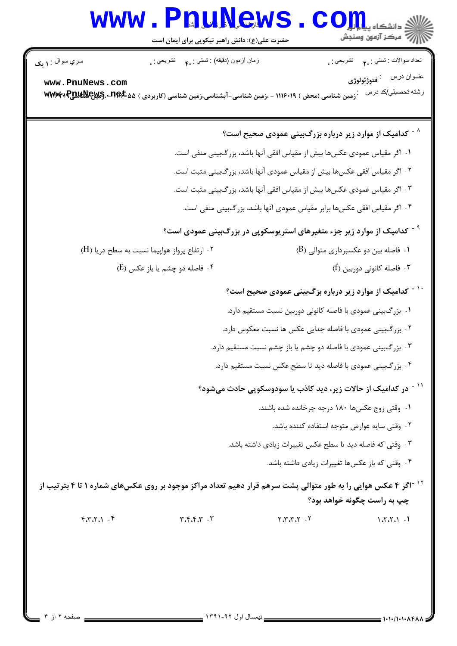## WWW. PnuNews. Com

| سري سوال <sub>: ۱</sub> پک                                                                                                  | زمان أزمون (دقيقه) : تستي : ٩. تشريحي : .                       |                                                                                             |  | تعداد سوالات : تستي : . <b>م</b> تشريحي : <sub>.</sub> |  |
|-----------------------------------------------------------------------------------------------------------------------------|-----------------------------------------------------------------|---------------------------------------------------------------------------------------------|--|--------------------------------------------------------|--|
| www.PnuNews.com                                                                                                             |                                                                 |                                                                                             |  |                                                        |  |
| زمین شناسی (محض ) ۱۱۱۶۰۱۹ - ،زمین شناسی-آبشناسی،زمین شناسی (کاربردی ) MWM:4 Pull Mey S. • 118 £.                            |                                                                 |                                                                                             |  | رشته تحصيلي/كد درس                                     |  |
|                                                                                                                             |                                                                 |                                                                                             |  |                                                        |  |
|                                                                                                                             |                                                                 | <sup>۸ -</sup> کدامیک از موارد زیر درباره بزرگبینی عمودی صحیح است؟                          |  |                                                        |  |
| ١. اگر مقياس عمودى عكسها بيش از مقياس افقى آنها باشد، بزرگبينى منفى است.                                                    |                                                                 |                                                                                             |  |                                                        |  |
| ۰۲ اگر مقیاس افقی عکسها بیش از مقیاس عمودی آنها باشد، بزرگبینی مثبت است.                                                    |                                                                 |                                                                                             |  |                                                        |  |
| ۰۳ اگر مقیاس عمودی عکسها بیش از مقیاس افقی آنها باشد، بزرگبینی مثبت است.                                                    |                                                                 |                                                                                             |  |                                                        |  |
| ۰۴ اگر مقیاس افقی عکسها برابر مقیاس عمودی آنها باشد، بزرگبینی منفی است.                                                     |                                                                 |                                                                                             |  |                                                        |  |
|                                                                                                                             |                                                                 | <sup>۹ -</sup> کدامیک از موارد زیر جزء متغیرهای استریوسکوپی در بزرگ <b>بینی عمودی است</b> ؟ |  |                                                        |  |
|                                                                                                                             | ۰۲ ارتفاع پرواز هواپیما نسبت به سطح دریا (H)                    |                                                                                             |  | ۰۱ فاصله بین دو عکسبرداری متوالی (B)                   |  |
|                                                                                                                             | ۰۴ فاصله دو چشم یا باز عکس (E)                                  |                                                                                             |  | ۰۳ فاصله کانونی دوربین (f)                             |  |
|                                                                                                                             |                                                                 | <sup>۱۰ -</sup> کدامیک از موارد زیر درباره بزگبینی عمودی صحیح است؟                          |  |                                                        |  |
|                                                                                                                             |                                                                 | ۰۱ بزرگبینی عمودی با فاصله کانونی دوربین نسبت مستقیم دارد.                                  |  |                                                        |  |
|                                                                                                                             |                                                                 | ۰۲ بزرگبینی عمودی با فاصله جدایی عکس ها نسبت معکوس دارد.                                    |  |                                                        |  |
|                                                                                                                             | ۰۳ بزر گبینی عمودی با فاصله دو چشم یا باز چشم نسبت مستقیم دارد. |                                                                                             |  |                                                        |  |
|                                                                                                                             | ۰۴ بزرگبینی عمودی با فاصله دید تا سطح عکس نسبت مستقیم دارد.     |                                                                                             |  |                                                        |  |
|                                                                                                                             |                                                                 | <sup>۱۱ -</sup> در کدامیک از حالات زیر، دید کاذب یا سودوسکوپی حادث میشود؟                   |  |                                                        |  |
| ۰۱ وقتی زوج عکسها ۱۸۰ درجه چرخانده شده باشند.                                                                               |                                                                 |                                                                                             |  |                                                        |  |
| ٠٢ وقتى سايه عوارض متوجه استفاده كننده باشد.                                                                                |                                                                 |                                                                                             |  |                                                        |  |
| ۰۳ وقتی که فاصله دید تا سطح عکس تغییرات زیادی داشته باشد.                                                                   |                                                                 |                                                                                             |  |                                                        |  |
|                                                                                                                             |                                                                 |                                                                                             |  | ۰۴ وقتی که باز عکسها تغییرات زیادی داشته باشد.         |  |
| <sup>۱۲ -</sup> اگر ۴ عکس هوایی را به طور متوالی پشت سرهم قرار دهیم تعداد مراکز موجود بر روی عکسهای شماره ۱ تا ۴ بتر تیب از |                                                                 |                                                                                             |  |                                                        |  |
|                                                                                                                             |                                                                 |                                                                                             |  | چپ به راست چگونه خواهد بود؟                            |  |
| $f, g, g, \ldots$                                                                                                           | $\mathbf{r} \cdot \mathbf{r} \cdot \mathbf{r} \cdot \mathbf{r}$ | 7.7.7.7.7                                                                                   |  | 1.7.7.1.1                                              |  |
|                                                                                                                             |                                                                 |                                                                                             |  |                                                        |  |
|                                                                                                                             |                                                                 |                                                                                             |  |                                                        |  |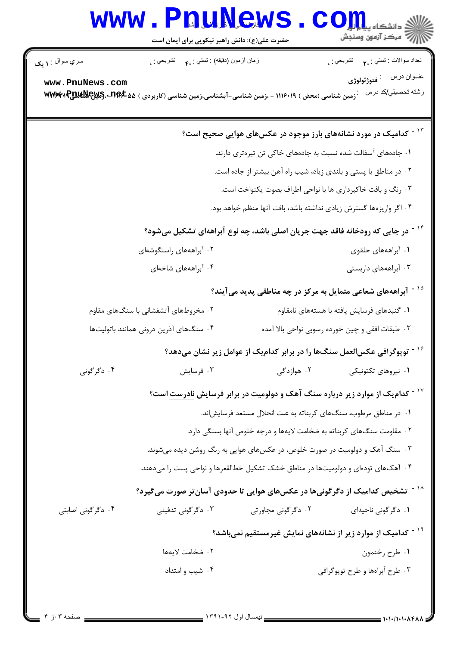## WWW.PnuNews.com

| سري سوال : <b>۱ يک</b>                                                                    | زمان أزمون (دقيقه) : نستي : .م         نشريحي : .                                                                             |                    | نعداد سوالات : تستي : . <b>م</b> تشريحي : <sub>.</sub>                                   |  |  |
|-------------------------------------------------------------------------------------------|-------------------------------------------------------------------------------------------------------------------------------|--------------------|------------------------------------------------------------------------------------------|--|--|
| www.PnuNews.com                                                                           |                                                                                                                               |                    |                                                                                          |  |  |
|                                                                                           | <sup>.</sup> زمین شناسی (محض ) ۱۱۱۶۰۱۹ - ،زمین شناسی-آبشناسی،زمین شناسی (کاربردی ) <b>۷۵×۳۹۶ لاس کی لایالیا به ۱۹۶۳</b> ۰ میل |                    | رشته تحصيلي/كد درس                                                                       |  |  |
|                                                                                           |                                                                                                                               |                    |                                                                                          |  |  |
|                                                                                           |                                                                                                                               |                    | <sup>۱۳ -</sup> کدامیک در مورد نشانههای بارز موجود در عکسهای هوایی صحیح است؟             |  |  |
|                                                                                           | ۰۱ جادههای آسفالت شده نسبت به جادههای خاکی تن تیرهتری دارند.                                                                  |                    |                                                                                          |  |  |
|                                                                                           | ۰۲ در مناطق با پستی و بلندی زیاد، شیب راه آهن بیشتر از جاده است.                                                              |                    |                                                                                          |  |  |
|                                                                                           | ۰۳ رنگ و بافت خاکبرداری ها با نواحی اطراف بصوت یکنواخت است.                                                                   |                    |                                                                                          |  |  |
|                                                                                           |                                                                                                                               |                    | ۰۴ اگر واریزهها گسترش زیادی نداشته باشد، بافت آنها منظم خواهد بود.                       |  |  |
| <sup>۱۴ -</sup> در جایی که رودخانه فاقد جهت جریان اصلی باشد، چه نوع آبراههای تشکیل میشود؟ |                                                                                                                               |                    |                                                                                          |  |  |
|                                                                                           | ۰۲ آبراهههای راستگوشهای                                                                                                       |                    | ۰۱ آبراهههای حلقوی                                                                       |  |  |
|                                                                                           | ۰۴ آبراهههای شاخهای                                                                                                           |                    | ۰۳ آبراهههای داربستی                                                                     |  |  |
|                                                                                           |                                                                                                                               |                    | <sup>۱۵ -</sup> آبراهههای شعاعی متمایل به مرکز در چه مناطقی پدید میآیند؟                 |  |  |
|                                                                                           | ۰۲ مخروطهای آتشفشانی با سنگهای مقاوم                                                                                          |                    | ۰۱ گنبدهای فرسایش یافته با هستههای نامقاوم                                               |  |  |
|                                                                                           | ۰۴ سنگ های آذرین درونی همانند باتولیتها<br>۰۳ طبقات افقی و چین خورده رسوبی نواحی بالا آمده                                    |                    |                                                                                          |  |  |
|                                                                                           |                                                                                                                               |                    | <sup>۱۶ -</sup> توپوگرافی عکسالعمل سنگ@ را در برابر کدامیک از عوامل زیر نشان میدهد؟      |  |  |
| ۰۴ دگرگونی                                                                                | ۰۳ فرسایش                                                                                                                     | ۰۲ هوازدگی         | ۰۱ نیروهای تکتونیکی                                                                      |  |  |
|                                                                                           |                                                                                                                               |                    | <sup>۱۷ -</sup> کدامیک از موارد زیر درباره سنگ آهک و دولومیت در برابر فرسایش نادرست است؟ |  |  |
|                                                                                           |                                                                                                                               |                    | ۰۱ در مناطق مرطوب، سنگهای کربناته به علت انحلال مستعد فرسایشاند.                         |  |  |
|                                                                                           |                                                                                                                               |                    | ۰۲ مقاومت سنگـهای کربناته به ضخامت لایهها و درجه خلوص آنها بستگی دارد.                   |  |  |
|                                                                                           | ۰۳ سنگ آهک و دولومیت در صورت خلوص، در عکسهای هوایی به رنگ روشن دیده میشوند.                                                   |                    |                                                                                          |  |  |
|                                                                                           | ۰۴ آهکهای تودهای و دولومیتها در مناطق خشک تشکیل خطالقعرها و نواحی پست را میدهند.                                              |                    |                                                                                          |  |  |
| <sup>۱۸ -</sup> تشخیص کدامیک از دگرگونیها در عکسهای هوایی تا حدودی آسانتر صورت میگیرد؟    |                                                                                                                               |                    |                                                                                          |  |  |
| ۰۴ دگرگونی اصابتی                                                                         | ۰۳ دگرگونی تدفینی                                                                                                             | ۰۲ دگرگونی مجاورتی | ۰۱ دگرگونی ناحیهای                                                                       |  |  |
| <sup>۱۹ -</sup> کدامیک از موارد زیر از نشانههای نمایش <u>غیر</u> مستقیم نم <u>یباشد؟</u>  |                                                                                                                               |                    |                                                                                          |  |  |
|                                                                                           | ٠٢ ضخامت لايهها                                                                                                               |                    | ٠١ طرح رخنمون                                                                            |  |  |
|                                                                                           | ۰۴ شیب و امتداد                                                                                                               |                    | ۰۳ طرح آبراهها و طرح توپوگرافي                                                           |  |  |
|                                                                                           |                                                                                                                               |                    |                                                                                          |  |  |